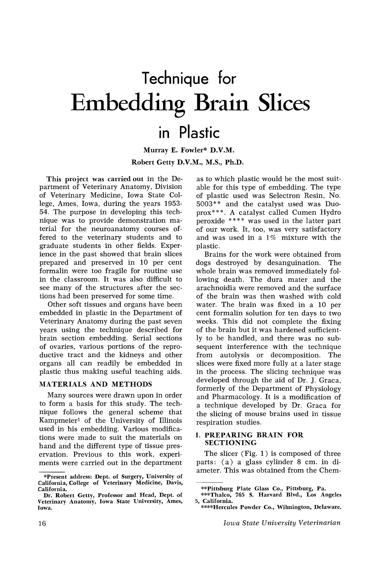# Technique for Embedding Brain Slices

# in Plastic

Murray E. Fowler\* D.V.M. Robert Getty D.V.M., M.S., Ph.D.

This project was carried out in the Department of Veterinary Anatomy, Division of Veterinary Medicine, Iowa State College, Ames, Iowa, during the years 1953- 54. The purpose in developing this technique was to provide demonstration material for the neuroanatomy courses offered to the veterinary students and to graduate students in other fields. Experience in the past showed that brain slices prepared and preserved in 10 per cent formalin were too fragile for routine use in the classroom. It was also difficult to see many of the structures after the sections had been preserved for some time.

Other soft tissues and organs have been embedded in plastic in the Department of Veterinary Anatomy during the past seven years using the technique described for brain section embedding. Serial sections of ovaries, various portions of the reproductive tract and the kidneys and other organs all can readily be embedded in plastic thus making useful teaching aids.

### MATERIALS AND METHODS

Many sources were drawn upon in order to form a basis for this study. The technique follows the general scheme that Kampmeier1 of the University of Illinois used in his embedding. Various modifications were made to suit the materials on hand and the different type of tissue preservation. Previous to this work, experiments were carried out in the department as to which plastic would be the most suitable for this type of embedding. The type of plastic used was Selectron Resin, No. 5003\*\* and the catalyst used was Duoprox\* \*\*. A catalyst called Cumen Hydro peroxide \*\*\*\* was used in the latter part of our work. It, too, was very satisfactory and was used in a 1% mixture with the plastic.

Brains for the work were obtained from dogs destroyed by desanguination. The whole brain was removed immediately following death. The dura mater and the arachnoidia were removed and the surface of the brain was then washed with cold water. The brain was fixed in a 10 per cent formalin solution for ten days to two weeks. This did not complete the fixing of the brain but it was hardened sufficiently to be handled, and there was no sub sequent interference with the technique from autolysis or decomposition. The slices were fixed more fully at a later stage in the process. The slicing technique was developed through the aid of Dr. J. Graca, formerly of the Department of Physiology and Pharmacology. It is a modification of a technique developed by Dr. Graca for the slicing of mouse brains used in tissue respiration studies.

#### I. PREPARING BRAIN FOR SECTIONING

The slicer (Fig. 1) is composed of three parts: ( a) a glass cylinder 8 em. in diameter. This was obtained from the Chem-

<sup>\*</sup>Present address: Dept. of Surgery, University of California, College of Veterinary Medicine, Davis, California.

Dr. Robert Getty, Professor and Head, Dept. of Veterinary Anatomy, Iowa State University, Ames, Iowa.

<sup>\*\*</sup>Pittsburg Plate Glass Co., Pittsburg, Pa.

<sup>\*\*\*</sup>Thalco, 765 S. Harvard Blvd., Los Angeles 5, California.

<sup>\*\*\*\*</sup>Hercules Powder Co., Wilmington, Delaware.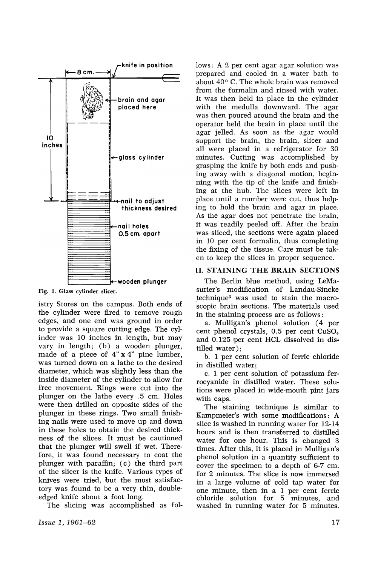

Fig. 1. Glass cylinder slicer.

istry Stores on the campus. Both ends of the cylinder were fired to remove rough edges, and one end was ground in order to provide a square cutting edge. The cylinder was 10 inches in length, but may vary in length;  $(b)$  a wooden plunger, made of a piece of 4" x 4" pine lumber, was turned down on a lathe to the desired diameter, which was slightly less than the inside diameter of the cylinder to allow for free movement. Rings were cut into the plunger on the lathe every .5 cm. Holes were then drilled on opposite sides of the plunger in these rings. Two small finishing nails were used to move up and down in these holes to obtain the desired thickness of the slices. It must be cautioned that the plunger will swell if wet. Therefore, it was found necessary to coat the plunger with paraffin; (c) the third part of the slicer is the knife. Various types of knives were tried, but the most satisfactory was found to be a very thin, doubleedged knife about a foot long.

The slicing was accomplished as fol-

lows: A 2 per cent agar agar solution was prepared and cooled in a water bath to about 40° C. The whole brain was removed from the formalin and rinsed with water. It was then held in place in the cylinder with the medulla downward. The agar was then poured around the brain and the operator held the brain in place until the agar jelled. As soon as the agar would support the brain, the brain, slicer and all were placed in a refrigerator for 30 minutes. Cutting was accomplished by grasping the knife by both ends and pushing away with a diagonal motion, beginning with the tip of the knife and finishing at the hub. The slices were left in place until a number were cut, thus helping to hold the brain and agar in place. As the agar does not penetrate the brain, it was readily peeled off. After the brain was sliced, the sections were again placed in 10 per cent formalin, thus completing the fixing of the tissue. Care must be taken to keep the slices in proper sequence.

#### II. STAINING THE BRAIN SECTIONS

The Berlin blue method, using LeMasurier's modification of Landau-Sincke technique3 was used to stain the macro scopic brain sections. The materials used in the staining process are as follows:

a. Mulligan's phenol solution (4 per cent phenol crystals, 0.5 per cent  $CuSO<sub>4</sub>$ and 0.125 per cent HCL dissolved in distilled water);

b. 1 per cent solution of ferric chloride in distilled water;

c. 1 per cent solution of potassium ferrocyanide in distilled water. These solutions were placed in wide-mouth pint jars with caps.

The staining technique is similar to Kampmeier's with some modifications: A slice is washed in running water for 12-14 hours and is then transferred to distilled water for one hour. This is changed 3 times. After this, it is placed in Mulligan's phenol solution in a quantity sufficient to cover the specimen to a depth of 6-7 cm. for 2 minutes. The slice is now immersed in a large volume of cold tap water for one minute, then in a 1 per cent ferric chloride solution for 5 minutes, and washed in running water for 5 minutes.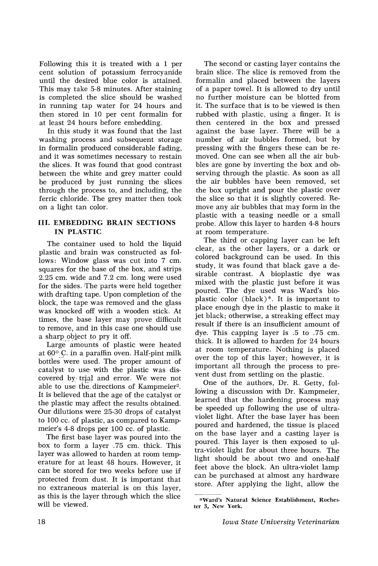Following this it is treated with a 1 per cent solution of potassium ferrocyanide until the desired blue color is attained. This may take 5-8 minutes. After staining is completed the slice should be washed in running tap water for 24 hours and then stored in 10 per cent formalin for at least 24 hours before embedding.

In this study it was found that the last washing process and subsequent storage in formalin produced considerable fading, and it was sometimes necessary to restain the slices. It was found that good contrast between the white and grey matter could be produced by just funning the slices through the process to, and including, the ferric chloride. The grey matter then took on a light tan color.

## **[II.** EMBEDDING BRAIN SECTIONS IN PLASTIC

The container used to hold the liquid plastic and brain was constructed as follows: Window glass was cut into 7 cm. squares for the base of the box, and strips 2.25 cm. wide and 7.2 cm. long were used for the sides. The parts were held together with drafting tape. Upon completion of the block, the tape was removed and the glass was knocked off with a wooden stick. At times, the base layer may prove difficult to remove, and in this case one should use a sharp object to pry it off.

Large amounts of plastic were heated at  $60^\circ$  C. in a paraffin oven. Half-pint milk bottles were used. The proper amount of catalyst to use· with the plastic was discovered by trial and error. We were not able to use the directions of Kampmeier<sup>2</sup>. It is believed that the age of the catalyst or the plastic may affect the results obtained. Our dilutions were 25-30 drops of catalyst to 100 cc. of plastic, as compared to Kampmeier's 4-8 drops per 100 cc. of plastic.

The first base layer. was poured into the box to form a layer .75 cm. thick. This layer was allowed to harden at room temperature for at least 48 hours. However, it can be stored for two weeks before use if protected from dust. It is important that no extraneous material is on this layer, as this is the layer through which the slice will be viewed.

The second or casting layer contains the brain slice. The slice is removed from the formalin and placed between the layers of a paper towel. It is allowed to dry until 110 further moisture can be blotted from it. The surface that is to be viewed is then rubbed with plastic, using a finger. It is then centered in the box and pressed against the base layer. There will be a number of air bubbles formed, but by pressing with the fingers these can be removed. One can see when all the air bubbles are gone by inverting the box and observing through the plastic. As soon as all the air bubbles have been removed, set the box upright and pour the plastic over the slice so that it is slightly covered. Remove any air bubbles that may form in the plastic with a teasing needle or a small probe. Allow this layer to harden 4-8 hours at room temperature.

The third or capping layer can be left clear, as the other layers, or a dark or colored background can be used. In this study, it was found that black gave a desirable contrast. A bioplastic dye was mixed with the plastic just before it was poured. The dye used was Ward's bioplastic color (black)\*. It is important to place enough dye in the plastic to make it jet black; otherwise, a streaking effect may result if there is an insufficient amount of dye. This capping layer is .5 to .75 cm. thick. It is allowed to harden for 24 hours at room temperature. Nothing is placed over the top of this layer; however, it is important all through the process to prevent dust from settling on the plastic.

.One of the authors, Dr. R. Getty, following a discussion with Dr. Kampmeier, learned that the hardening process  $\text{max}$ be speeded up following the use of ultraviolet light. After the base layer has been poured and hardened, the tissue is placed on the base layer and a casting layer is poured. This layer is then exposed to ultra-violet light for about three hours. The light should be about two and one-half feet above the block. An ultra-violet lamp can be purchased at almost any hardware store. After applying the light, allow the

<sup>\*</sup>Ward's Natural Science Establishment, Rochester 3, New York.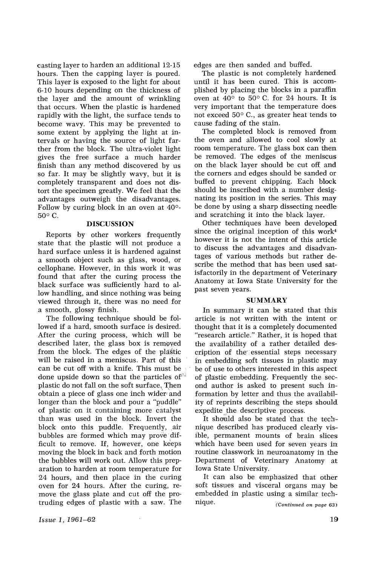casting layer to harden an additional 12-15 hours. Then the capping layer is poured. This layer is exposed to the light for about 6-10 hours depending on the thickness of the layer and the amount of wrinkling that occurs. When the plastic is hardened rapidly with the light, the surface tends to become wavy. This may be prevented to some extent by applying the light at intervals or having the source of light farther from the block. The ultra-violet light gives the free surface a much harder finish than any method discovered by us so far. It may be slightly wavy, but it is completely transparent and does not distort the specimen greatly. We feel that the advantages outweigh the disadvantages. Follow by curing block in an oven at 40°-  $50^{\circ}$  C.

#### DISCUSSION

Reports by other workers frequently state that the plastic will not produce a hard surface unless it is hardened against a smooth object such as glass, wood, or cellophane. However, in this work it was found that after the curing process the black surface was sufficiently hard to allow handling, and since nothing was being viewed through it, there was no need for a smooth, glossy finish.

The following technique should be followed if a hard, smooth surface is desired. After the curing process, which will be described later, the glass box is removed from the block. The edges of the plastic will be raised in a meniscus. Part of this can be cut off with a knife. This must be done upside down so that the particles of<sup>\*\*</sup> plastic do not fall on the soft surface, Then obtain a piece of glass one inch wider and longer than the block and pour a "puddle" of plastic on it containing more catalyst than was used in the block. Invert the block onto this puddle. Frequently, air bubbles are formed which may prove difficult to remove. If, however, one keeps moving the block in back and forth motion the bubbles will work out. Allow this preparation to harden at room temperature for 24 hours, and then place in the curing oven for 24 hours. After the curing, remove the glass plate and cut off the protruding edges of plastic with a saw. The

edges are then sanded and buffed.

The plastic is not completely hardened until it has been cured. This is accomplished by placing the blocks in a paraffin oven at  $40^{\circ}$  to  $50^{\circ}$  C. for 24 hours. It is very important that the temperature does not exceed 50° C., as greater heat tends to cause fading of the stain.

The completed block is removed from the oven and allowed to cool slowly at room temperature. The glass box can then be removed. The edges of the meniscus on the black layer should be cut off and the corners and edges should be sanded or buffed to prevent chipping. Each block should be inscribed with a number designating its position in the series. This may be done by using a sharp dissecting needle and scratching it into the black layer.

Other techniques have been developed. since the original inception of this work4 however it is not the intent of this article to discuss the advantages and disadvantages of various methods but rather describe the method that has been used sat- isfactorily in the department of Veterinary Anatomy at Iowa State University' for the past seven years.

#### SUMMARY

In summary it can be stated that this. article is not written with the intent or thought that it is a completely documented "research article." Rather, it is hoped that the availability of a rather detailed description of the essential steps necessary in embedding soft tissues in plastic may be of use to others interested in this aspect of plastic embedding. Frequently the sec-· and author is asked to present such in- formation by letter and thus the availabil-· ity of reprints describing the steps should expedite the descriptive process.

It should also be stated that the technique described has produced clearly visible, permanent mounts of brain slices which have been used for seven years in routine classwork in neuroanatomy in the Department of Veterinary Anatomy at Iowa State University.

(Continued on page 63) It can also be emphasized that other soft tissues and visceral organs may be embedded in plastic using a similar technique.

*Issue* 1, 1961-62